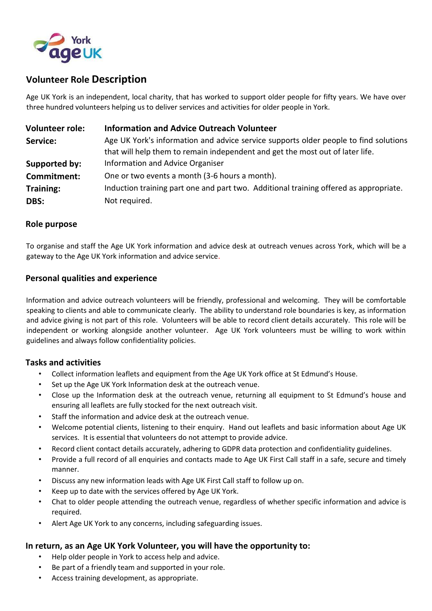

# **Volunteer Role Description**

Age UK York is an independent, local charity, that has worked to support older people for fifty years. We have over three hundred volunteers helping us to deliver services and activities for older people in York.

| <b>Volunteer role:</b> | <b>Information and Advice Outreach Volunteer</b>                                      |
|------------------------|---------------------------------------------------------------------------------------|
| Service:               | Age UK York's information and advice service supports older people to find solutions  |
|                        | that will help them to remain independent and get the most out of later life.         |
| Supported by:          | Information and Advice Organiser                                                      |
| Commitment:            | One or two events a month (3-6 hours a month).                                        |
| <b>Training:</b>       | Induction training part one and part two. Additional training offered as appropriate. |
| DBS:                   | Not required.                                                                         |

### **Role purpose**

To organise and staff the Age UK York information and advice desk at outreach venues across York, which will be a gateway to the Age UK York information and advice service.

### **Personal qualities and experience**

Information and advice outreach volunteers will be friendly, professional and welcoming. They will be comfortable speaking to clients and able to communicate clearly. The ability to understand role boundaries is key, as information and advice giving is not part of this role. Volunteers will be able to record client details accurately. This role will be independent or working alongside another volunteer. Age UK York volunteers must be willing to work within guidelines and always follow confidentiality policies.

#### **Tasks and activities**

- Collect information leaflets and equipment from the Age UK York office at St Edmund's House.
- Set up the Age UK York Information desk at the outreach venue.
- Close up the Information desk at the outreach venue, returning all equipment to St Edmund's house and ensuring all leaflets are fully stocked for the next outreach visit.
- Staff the information and advice desk at the outreach venue.
- Welcome potential clients, listening to their enquiry. Hand out leaflets and basic information about Age UK services. It is essential that volunteers do not attempt to provide advice.
- Record client contact details accurately, adhering to GDPR data protection and confidentiality guidelines.
- Provide a full record of all enquiries and contacts made to Age UK First Call staff in a safe, secure and timely manner.
- Discuss any new information leads with Age UK First Call staff to follow up on.
- Keep up to date with the services offered by Age UK York.
- Chat to older people attending the outreach venue, regardless of whether specific information and advice is required.
- Alert Age UK York to any concerns, including safeguarding issues.

#### **In return, as an Age UK York Volunteer, you will have the opportunity to:**

- Help older people in York to access help and advice.
- Be part of a friendly team and supported in your role.
- Access training development, as appropriate.